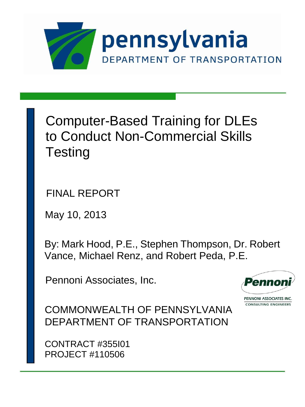

Computer-Based Training for DLEs to Conduct Non-Commercial Skills **Testing** 

FINAL REPORT

May 10, 2013

By: Mark Hood, P.E., Stephen Thompson, Dr. Robert Vance, Michael Renz, and Robert Peda, P.E.

Pennoni Associates, Inc.



PENNONI ASSOCIATES INC **CONSULTING ENGINEERS** 

COMMONWEALTH OF PENNSYLVANIA DEPARTMENT OF TRANSPORTATION

CONTRACT #355I01 PROJECT #110506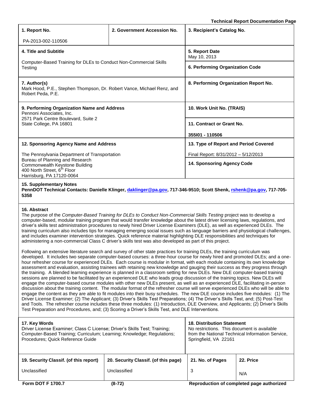**Technical Report Documentation Page**

| 1. Report No.                                                                                                                             | 2. Government Accession No. | 3. Recipient's Catalog No.            |  |
|-------------------------------------------------------------------------------------------------------------------------------------------|-----------------------------|---------------------------------------|--|
| PA-2013-002-110506                                                                                                                        |                             |                                       |  |
| 4. Title and Subtitle                                                                                                                     |                             | 5. Report Date<br>May 10, 2013        |  |
| Computer-Based Training for DLEs to Conduct Non-Commercial Skills<br>Testing                                                              |                             | 6. Performing Organization Code       |  |
| 7. Author(s)<br>Mark Hood, P.E., Stephen Thompson, Dr. Robert Vance, Michael Renz, and<br>Robert Peda, P.E.                               |                             | 8. Performing Organization Report No. |  |
| 9. Performing Organization Name and Address<br>Pennoni Associates, Inc.                                                                   |                             | 10. Work Unit No. (TRAIS)             |  |
| 2571 Park Centre Boulevard, Suite 2<br>State College, PA 16801                                                                            |                             | 11. Contract or Grant No.             |  |
|                                                                                                                                           |                             | 355101 - 110506                       |  |
| 12. Sponsoring Agency Name and Address                                                                                                    |                             | 13. Type of Report and Period Covered |  |
| The Pennsylvania Department of Transportation                                                                                             |                             | Final Report: 8/31/2012 - 5/12/2013   |  |
| Bureau of Planning and Research<br>Commonwealth Keystone Building<br>400 North Street, 6 <sup>th</sup> Floor<br>Harrisburg, PA 17120-0064 |                             | 14. Sponsoring Agency Code            |  |
| <b>15. Supplementary Notes</b>                                                                                                            |                             |                                       |  |

**PennDOT Technical Contacts: Danielle Klinger, [daklinger@pa.gov,](mailto:daklinger@pa.gov) 717-346-9510; Scott Shenk, [rshenk@pa.gov,](mailto:rshenk@pa.gov) 717-705- 5358**

## **16. Abstract**

The purpose of the *Computer-Based Training for DLEs to Conduct Non-Commercial Skills Testing* project was to develop a computer-based, modular training program that would transfer knowledge about the latest driver licensing laws, regulations, and driver's skills test administration procedures to newly hired Driver License Examiners (DLE), as well as experienced DLEs. The training curriculum also includes tips for managing emerging social issues such as language barriers and physiological challenges, and includes examiner intervention strategies. Quick reference material highlighting DLE responsibilities and techniques for administering a non-commercial Class C driver's skills test was also developed as part of this project.

Following an extensive literature search and survey of other state practices for training DLEs, the training curriculum was developed. It includes two separate computer-based courses: a three-hour course for newly hired and promoted DLEs; and a onehour refresher course for experienced DLEs. Each course is modular in format, with each module containing its own knowledge assessment and evaluation, assisting trainees with retaining new knowledge and gauging their success as they progress through the training. A blended learning experience is planned in a classroom setting for new DLEs. New DLE computer-based training sessions are planned to be facilitated by an experienced DLE who leads group discussion of the training topics. New DLEs will engage the computer-based course modules with other new DLEs present, as well as an experienced DLE, facilitating in-person discussion about the training content. The modular format of the refresher course will serve experienced DLEs who will be able to engage the content as they are able to fit modules into their busy schedules. The new DLE course includes five modules: (1) The Driver License Examiner; (2) The Applicant; (3) Driver's Skills Test Preparations; (4) The Driver's Skills Test, and; (5) Post-Test and Tools. The refresher course includes these three modules: (1) Introduction, DLE Overview, and Applicants; (2) Driver's Skills Test Preparation and Procedures, and; (3) Scoring a Driver's Skills Test, and DLE Interventions.

| 17. Key Words<br>Driver License Examiner; Class C License; Driver's Skills Test; Training;<br>Computer-Based Training; Curriculum; Learning; Knowledge; Regulations;<br>Procedures; Quick Reference Guide |                                      | <b>18. Distribution Statement</b><br>No restrictions. This document is available<br>from the National Technical Information Service,<br>Springfield, VA 22161 |           |
|-----------------------------------------------------------------------------------------------------------------------------------------------------------------------------------------------------------|--------------------------------------|---------------------------------------------------------------------------------------------------------------------------------------------------------------|-----------|
| 19. Security Classif. (of this report)                                                                                                                                                                    | 20. Security Classif. (of this page) | 21. No. of Pages                                                                                                                                              | 22. Price |
| Unclassified                                                                                                                                                                                              | Unclassified                         | 3                                                                                                                                                             | N/A       |
| <b>Form DOT F 1700.7</b>                                                                                                                                                                                  | $(8-72)$                             | Reproduction of completed page authorized                                                                                                                     |           |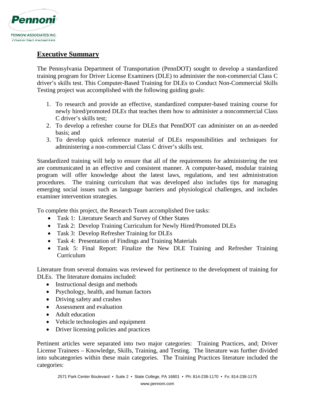

## **Executive Summary**

The Pennsylvania Department of Transportation (PennDOT) sought to develop a standardized training program for Driver License Examiners (DLE) to administer the non-commercial Class C driver's skills test. This Computer-Based Training for DLEs to Conduct Non-Commercial Skills Testing project was accomplished with the following guiding goals:

- 1. To research and provide an effective, standardized computer-based training course for newly hired/promoted DLEs that teaches them how to administer a noncommercial Class C driver's skills test;
- 2. To develop a refresher course for DLEs that PennDOT can administer on an as-needed basis; and
- 3. To develop quick reference material of DLEs responsibilities and techniques for administering a non-commercial Class C driver's skills test.

Standardized training will help to ensure that all of the requirements for administering the test are communicated in an effective and consistent manner. A computer-based, modular training program will offer knowledge about the latest laws, regulations, and test administration procedures. The training curriculum that was developed also includes tips for managing emerging social issues such as language barriers and physiological challenges, and includes examiner intervention strategies.

To complete this project, the Research Team accomplished five tasks:

- Task 1: Literature Search and Survey of Other States
- Task 2: Develop Training Curriculum for Newly Hired/Promoted DLEs
- Task 3: Develop Refresher Training for DLEs
- Task 4: Presentation of Findings and Training Materials
- Task 5: Final Report: Finalize the New DLE Training and Refresher Training Curriculum

Literature from several domains was reviewed for pertinence to the development of training for DLEs. The literature domains included:

- Instructional design and methods
- Psychology, health, and human factors
- Driving safety and crashes
- Assessment and evaluation
- Adult education
- Vehicle technologies and equipment
- Driver licensing policies and practices

Pertinent articles were separated into two major categories: Training Practices, and; Driver License Trainees – Knowledge, Skills, Training, and Testing. The literature was further divided into subcategories within these main categories. The Training Practices literature included the categories: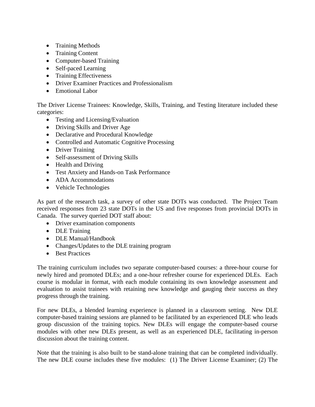- Training Methods
- Training Content
- Computer-based Training
- Self-paced Learning
- Training Effectiveness
- Driver Examiner Practices and Professionalism
- Emotional Labor

The Driver License Trainees: Knowledge, Skills, Training, and Testing literature included these categories:

- Testing and Licensing/Evaluation
- Driving Skills and Driver Age
- Declarative and Procedural Knowledge
- Controlled and Automatic Cognitive Processing
- Driver Training
- Self-assessment of Driving Skills
- Health and Driving
- Test Anxiety and Hands-on Task Performance
- ADA Accommodations
- Vehicle Technologies

As part of the research task, a survey of other state DOTs was conducted. The Project Team received responses from 23 state DOTs in the US and five responses from provincial DOTs in Canada. The survey queried DOT staff about:

- Driver examination components
- DLE Training
- DLE Manual/Handbook
- Changes/Updates to the DLE training program
- Best Practices

The training curriculum includes two separate computer-based courses: a three-hour course for newly hired and promoted DLEs; and a one-hour refresher course for experienced DLEs. Each course is modular in format, with each module containing its own knowledge assessment and evaluation to assist trainees with retaining new knowledge and gauging their success as they progress through the training.

For new DLEs, a blended learning experience is planned in a classroom setting. New DLE computer-based training sessions are planned to be facilitated by an experienced DLE who leads group discussion of the training topics. New DLEs will engage the computer-based course modules with other new DLEs present, as well as an experienced DLE, facilitating in-person discussion about the training content.

Note that the training is also built to be stand-alone training that can be completed individually. The new DLE course includes these five modules: (1) The Driver License Examiner; (2) The